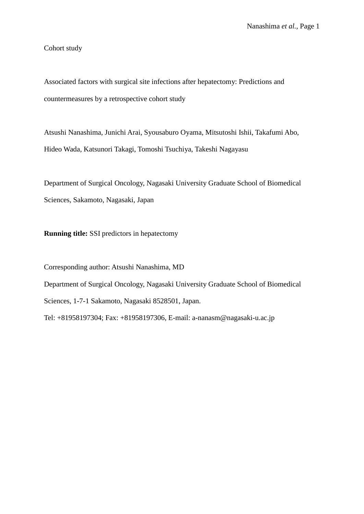Cohort study

Associated factors with surgical site infections after hepatectomy: Predictions and countermeasures by a retrospective cohort study

Atsushi Nanashima, Junichi Arai, Syousaburo Oyama, Mitsutoshi Ishii, Takafumi Abo, Hideo Wada, Katsunori Takagi, Tomoshi Tsuchiya, Takeshi Nagayasu

Department of Surgical Oncology, Nagasaki University Graduate School of Biomedical Sciences, Sakamoto, Nagasaki, Japan

**Running title:** SSI predictors in hepatectomy

Corresponding author: Atsushi Nanashima, MD

Department of Surgical Oncology, Nagasaki University Graduate School of Biomedical

Sciences, 1-7-1 Sakamoto, Nagasaki 8528501, Japan.

Tel: +81958197304; Fax: +81958197306, E-mail: a-nanasm@nagasaki-u.ac.jp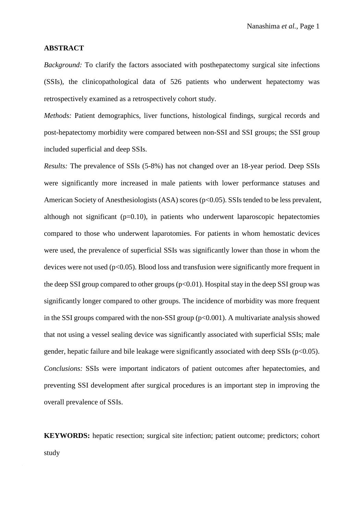### **ABSTRACT**

*Background:* To clarify the factors associated with posthepatectomy surgical site infections (SSIs), the clinicopathological data of 526 patients who underwent hepatectomy was retrospectively examined as a retrospectively cohort study.

*Methods:* Patient demographics, liver functions, histological findings, surgical records and post-hepatectomy morbidity were compared between non-SSI and SSI groups; the SSI group included superficial and deep SSIs.

*Results:* The prevalence of SSIs (5-8%) has not changed over an 18-year period. Deep SSIs were significantly more increased in male patients with lower performance statuses and American Society of Anesthesiologists (ASA) scores (p<0.05). SSIs tended to be less prevalent, although not significant  $(p=0.10)$ , in patients who underwent laparoscopic hepatectomies compared to those who underwent laparotomies. For patients in whom hemostatic devices were used, the prevalence of superficial SSIs was significantly lower than those in whom the devices were not used  $(p<0.05)$ . Blood loss and transfusion were significantly more frequent in the deep SSI group compared to other groups  $(p<0.01)$ . Hospital stay in the deep SSI group was significantly longer compared to other groups. The incidence of morbidity was more frequent in the SSI groups compared with the non-SSI group  $(p<0.001)$ . A multivariate analysis showed that not using a vessel sealing device was significantly associated with superficial SSIs; male gender, hepatic failure and bile leakage were significantly associated with deep SSIs ( $p<0.05$ ). *Conclusions:* SSIs were important indicators of patient outcomes after hepatectomies, and preventing SSI development after surgical procedures is an important step in improving the overall prevalence of SSIs.

**KEYWORDS:** hepatic resection; surgical site infection; patient outcome; predictors; cohort study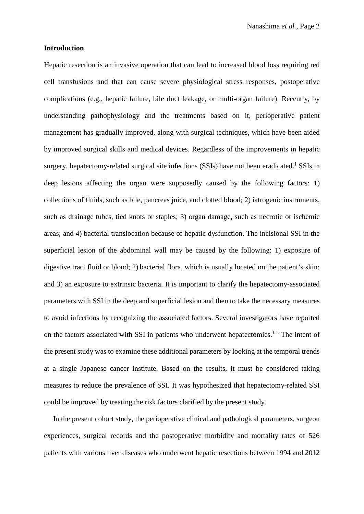### **Introduction**

Hepatic resection is an invasive operation that can lead to increased blood loss requiring red cell transfusions and that can cause severe physiological stress responses, postoperative complications (e.g., hepatic failure, bile duct leakage, or multi-organ failure). Recently, by understanding pathophysiology and the treatments based on it, perioperative patient management has gradually improved, along with surgical techniques, which have been aided by improved surgical skills and medical devices. Regardless of the improvements in hepatic surgery, hepatectomy-related surgical site infections (SSIs) have not been eradicated.<sup>1</sup> SSIs in deep lesions affecting the organ were supposedly caused by the following factors: 1) collections of fluids, such as bile, pancreas juice, and clotted blood; 2) iatrogenic instruments, such as drainage tubes, tied knots or staples; 3) organ damage, such as necrotic or ischemic areas; and 4) bacterial translocation because of hepatic dysfunction. The incisional SSI in the superficial lesion of the abdominal wall may be caused by the following: 1) exposure of digestive tract fluid or blood; 2) bacterial flora, which is usually located on the patient's skin; and 3) an exposure to extrinsic bacteria. It is important to clarify the hepatectomy-associated parameters with SSI in the deep and superficial lesion and then to take the necessary measures to avoid infections by recognizing the associated factors. Several investigators have reported on the factors associated with SSI in patients who underwent hepatectomies.<sup>1-5</sup> The intent of the present study was to examine these additional parameters by looking at the temporal trends at a single Japanese cancer institute. Based on the results, it must be considered taking measures to reduce the prevalence of SSI. It was hypothesized that hepatectomy-related SSI could be improved by treating the risk factors clarified by the present study.

 In the present cohort study, the perioperative clinical and pathological parameters, surgeon experiences, surgical records and the postoperative morbidity and mortality rates of 526 patients with various liver diseases who underwent hepatic resections between 1994 and 2012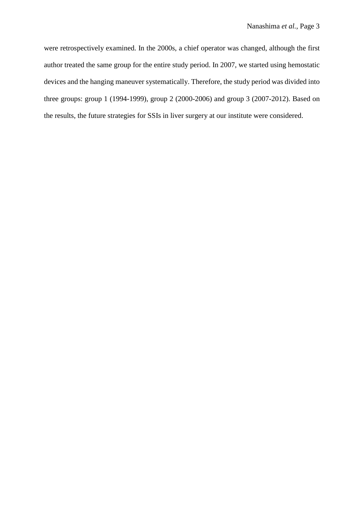were retrospectively examined. In the 2000s, a chief operator was changed, although the first author treated the same group for the entire study period. In 2007, we started using hemostatic devices and the hanging maneuver systematically. Therefore, the study period was divided into three groups: group 1 (1994-1999), group 2 (2000-2006) and group 3 (2007-2012). Based on the results, the future strategies for SSIs in liver surgery at our institute were considered.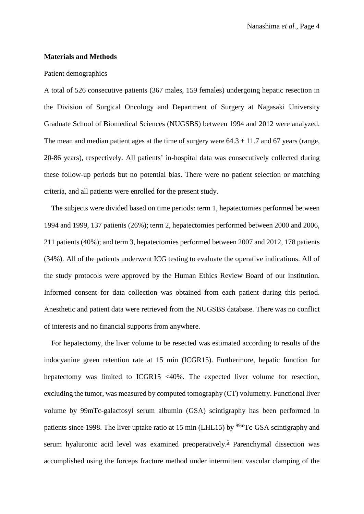## **Materials and Methods**

#### Patient demographics

A total of 526 consecutive patients (367 males, 159 females) undergoing hepatic resection in the Division of Surgical Oncology and Department of Surgery at Nagasaki University Graduate School of Biomedical Sciences (NUGSBS) between 1994 and 2012 were analyzed. The mean and median patient ages at the time of surgery were  $64.3 \pm 11.7$  and 67 years (range, 20-86 years), respectively. All patients' in-hospital data was consecutively collected during these follow-up periods but no potential bias. There were no patient selection or matching criteria, and all patients were enrolled for the present study.

The subjects were divided based on time periods: term 1, hepatectomies performed between 1994 and 1999, 137 patients (26%); term 2, hepatectomies performed between 2000 and 2006, 211 patients (40%); and term 3, hepatectomies performed between 2007 and 2012, 178 patients (34%). All of the patients underwent ICG testing to evaluate the operative indications. All of the study protocols were approved by the Human Ethics Review Board of our institution. Informed consent for data collection was obtained from each patient during this period. Anesthetic and patient data were retrieved from the NUGSBS database. There was no conflict of interests and no financial supports from anywhere.

For hepatectomy, the liver volume to be resected was estimated according to results of the indocyanine green retention rate at 15 min (ICGR15). Furthermore, hepatic function for hepatectomy was limited to ICGR15 <40%. The expected liver volume for resection, excluding the tumor, was measured by computed tomography (CT) volumetry. Functional liver volume by 99mTc-galactosyl serum albumin (GSA) scintigraphy has been performed in patients since 1998. The liver uptake ratio at 15 min (LHL15) by <sup>99m</sup>Tc-GSA scintigraphy and serum hyaluronic acid level was examined preoperatively.<sup>5</sup> Parenchymal dissection was accomplished using the forceps fracture method under intermittent vascular clamping of the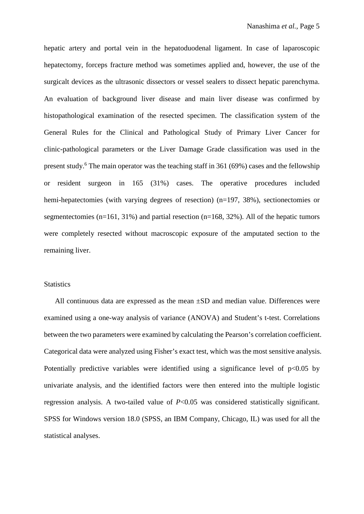hepatic artery and portal vein in the hepatoduodenal ligament. In case of laparoscopic hepatectomy, forceps fracture method was sometimes applied and, however, the use of the surgicalt devices as the ultrasonic dissectors or vessel sealers to dissect hepatic parenchyma. An evaluation of background liver disease and main liver disease was confirmed by histopathological examination of the resected specimen. The classification system of the General Rules for the Clinical and Pathological Study of Primary Liver Cancer for clinic-pathological parameters or the Liver Damage Grade classification was used in the present study.<sup>6</sup> The main operator was the teaching staff in 361 (69%) cases and the fellowship or resident surgeon in 165 (31%) cases. The operative procedures included hemi-hepatectomies (with varying degrees of resection) (n=197, 38%), sectionectomies or segmentectomies (n=161, 31%) and partial resection (n=168, 32%). All of the hepatic tumors were completely resected without macroscopic exposure of the amputated section to the remaining liver.

# **Statistics**

All continuous data are expressed as the mean ±SD and median value. Differences were examined using a one-way analysis of variance (ANOVA) and Student's t-test. Correlations between the two parameters were examined by calculating the Pearson's correlation coefficient. Categorical data were analyzed using Fisher's exact test, which was the most sensitive analysis. Potentially predictive variables were identified using a significance level of  $p<0.05$  by univariate analysis, and the identified factors were then entered into the multiple logistic regression analysis. A two-tailed value of *P*<0.05 was considered statistically significant. SPSS for Windows version 18.0 (SPSS, an IBM Company, Chicago, IL) was used for all the statistical analyses.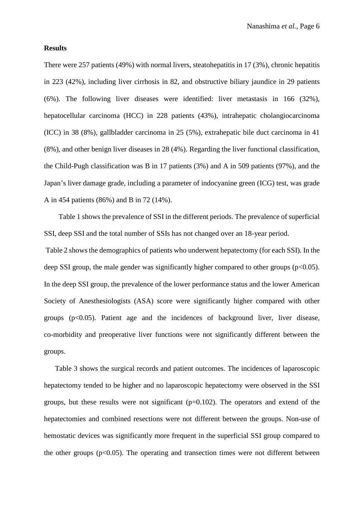### **Results**

There were 257 patients (49%) with normal livers, steatohepatitis in 17 (3%), chronic hepatitis in 223 (42%), including liver cirrhosis in 82, and obstructive biliary jaundice in 29 patients (6%). The following liver diseases were identified: liver metastasis in 166 (32%), hepatocellular carcinoma (HCC) in 228 patients (43%), intrahepatic cholangiocarcinoma (ICC) in 38 (8%), gallbladder carcinoma in 25 (5%), extrahepatic bile duct carcinoma in 41 (8%), and other benign liver diseases in 28 (4%). Regarding the liver functional classification, the Child-Pugh classification was B in 17 patients (3%) and A in 509 patients (97%), and the Japan's liver damage grade, including a parameter of indocyanine green (ICG) test, was grade A in 454 patients (86%) and B in 72 (14%).

Table 1 shows the prevalence of SSI in the different periods. The prevalence of superficial SSI, deep SSI and the total number of SSIs has not changed over an 18-year period.

Table 2 shows the demographics of patients who underwent hepatectomy (for each SSI). In the deep SSI group, the male gender was significantly higher compared to other groups ( $p<0.05$ ). In the deep SSI group, the prevalence of the lower performance status and the lower American Society of Anesthesiologists (ASA) score were significantly higher compared with other groups  $(p<0.05)$ . Patient age and the incidences of background liver, liver disease, co-morbidity and preoperative liver functions were not significantly different between the groups.

Table 3 shows the surgical records and patient outcomes. The incidences of laparoscopic hepatectomy tended to be higher and no laparoscopic hepatectomy were observed in the SSI groups, but these results were not significant  $(p=0.102)$ . The operators and extend of the hepatectomies and combined resections were not different between the groups. Non-use of hemostatic devices was significantly more frequent in the superficial SSI group compared to the other groups  $(p<0.05)$ . The operating and transection times were not different between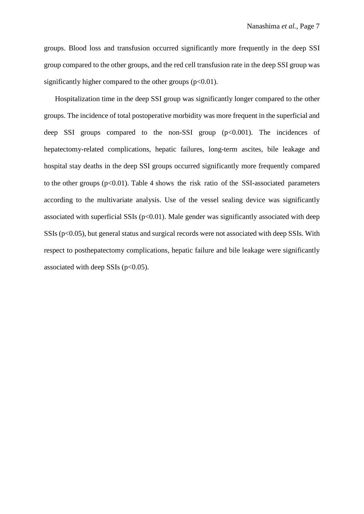groups. Blood loss and transfusion occurred significantly more frequently in the deep SSI group compared to the other groups, and the red cell transfusion rate in the deep SSI group was significantly higher compared to the other groups  $(p<0.01)$ .

Hospitalization time in the deep SSI group was significantly longer compared to the other groups. The incidence of total postoperative morbidity was more frequent in the superficial and deep SSI groups compared to the non-SSI group  $(p<0.001)$ . The incidences of hepatectomy-related complications, hepatic failures, long-term ascites, bile leakage and hospital stay deaths in the deep SSI groups occurred significantly more frequently compared to the other groups  $(p<0.01)$ . Table 4 shows the risk ratio of the SSI-associated parameters according to the multivariate analysis. Use of the vessel sealing device was significantly associated with superficial SSIs ( $p<0.01$ ). Male gender was significantly associated with deep SSIs (p<0.05), but general status and surgical records were not associated with deep SSIs. With respect to posthepatectomy complications, hepatic failure and bile leakage were significantly associated with deep SSIs ( $p<0.05$ ).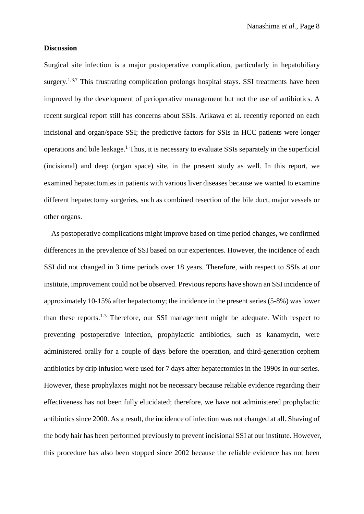### **Discussion**

Surgical site infection is a major postoperative complication, particularly in hepatobiliary surgery.<sup>1,3,7</sup> This frustrating complication prolongs hospital stays. SSI treatments have been improved by the development of perioperative management but not the use of antibiotics. A recent surgical report still has concerns about SSIs. Arikawa et al. recently reported on each incisional and organ/space SSI; the predictive factors for SSIs in HCC patients were longer operations and bile leakage.<sup>1</sup> Thus, it is necessary to evaluate SSIs separately in the superficial (incisional) and deep (organ space) site, in the present study as well. In this report, we examined hepatectomies in patients with various liver diseases because we wanted to examine different hepatectomy surgeries, such as combined resection of the bile duct, major vessels or other organs.

 As postoperative complications might improve based on time period changes, we confirmed differences in the prevalence of SSI based on our experiences. However, the incidence of each SSI did not changed in 3 time periods over 18 years. Therefore, with respect to SSIs at our institute, improvement could not be observed. Previous reports have shown an SSI incidence of approximately 10-15% after hepatectomy; the incidence in the present series (5-8%) was lower than these reports. $1-3$  Therefore, our SSI management might be adequate. With respect to preventing postoperative infection, prophylactic antibiotics, such as kanamycin, were administered orally for a couple of days before the operation, and third-generation cephem antibiotics by drip infusion were used for 7 days after hepatectomies in the 1990s in our series. However, these prophylaxes might not be necessary because reliable evidence regarding their effectiveness has not been fully elucidated; therefore, we have not administered prophylactic antibiotics since 2000. As a result, the incidence of infection was not changed at all. Shaving of the body hair has been performed previously to prevent incisional SSI at our institute. However, this procedure has also been stopped since 2002 because the reliable evidence has not been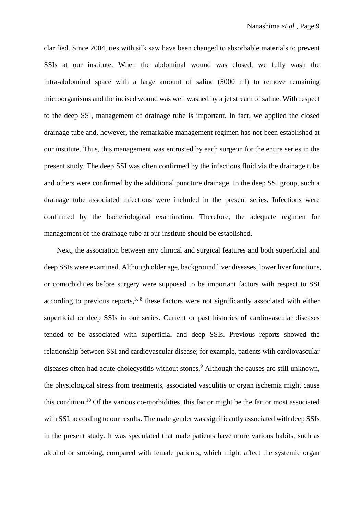clarified. Since 2004, ties with silk saw have been changed to absorbable materials to prevent SSIs at our institute. When the abdominal wound was closed, we fully wash the intra-abdominal space with a large amount of saline (5000 ml) to remove remaining microorganisms and the incised wound was well washed by a jet stream of saline. With respect to the deep SSI, management of drainage tube is important. In fact, we applied the closed drainage tube and, however, the remarkable management regimen has not been established at our institute. Thus, this management was entrusted by each surgeon for the entire series in the present study. The deep SSI was often confirmed by the infectious fluid via the drainage tube and others were confirmed by the additional puncture drainage. In the deep SSI group, such a drainage tube associated infections were included in the present series. Infections were confirmed by the bacteriological examination. Therefore, the adequate regimen for management of the drainage tube at our institute should be established.

Next, the association between any clinical and surgical features and both superficial and deep SSIs were examined. Although older age, background liver diseases, lower liver functions, or comorbidities before surgery were supposed to be important factors with respect to SSI according to previous reports,  $3, 8$  these factors were not significantly associated with either superficial or deep SSIs in our series. Current or past histories of cardiovascular diseases tended to be associated with superficial and deep SSIs. Previous reports showed the relationship between SSI and cardiovascular disease; for example, patients with cardiovascular diseases often had acute cholecystitis without stones. <sup>9</sup> Although the causes are still unknown, the physiological stress from treatments, associated vasculitis or organ ischemia might cause this condition.<sup>10</sup> Of the various co-morbidities, this factor might be the factor most associated with SSI, according to our results. The male gender was significantly associated with deep SSIs in the present study. It was speculated that male patients have more various habits, such as alcohol or smoking, compared with female patients, which might affect the systemic organ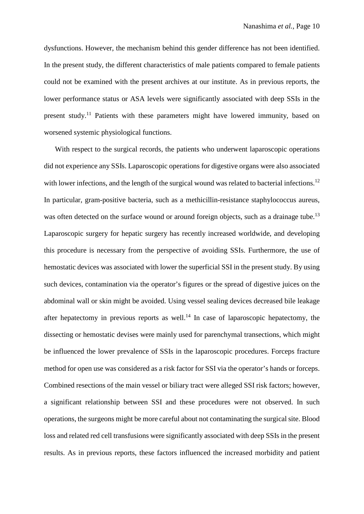dysfunctions. However, the mechanism behind this gender difference has not been identified. In the present study, the different characteristics of male patients compared to female patients could not be examined with the present archives at our institute. As in previous reports, the lower performance status or ASA levels were significantly associated with deep SSIs in the present study.11 Patients with these parameters might have lowered immunity, based on worsened systemic physiological functions.

With respect to the surgical records, the patients who underwent laparoscopic operations did not experience any SSIs. Laparoscopic operations for digestive organs were also associated with lower infections, and the length of the surgical wound was related to bacterial infections.<sup>12</sup> In particular, gram-positive bacteria, such as a methicillin-resistance staphylococcus aureus, was often detected on the surface wound or around foreign objects, such as a drainage tube.<sup>13</sup> Laparoscopic surgery for hepatic surgery has recently increased worldwide, and developing this procedure is necessary from the perspective of avoiding SSIs. Furthermore, the use of hemostatic devices was associated with lower the superficial SSI in the present study. By using such devices, contamination via the operator's figures or the spread of digestive juices on the abdominal wall or skin might be avoided. Using vessel sealing devices decreased bile leakage after hepatectomy in previous reports as well.<sup>14</sup> In case of laparoscopic hepatectomy, the dissecting or hemostatic devises were mainly used for parenchymal transections, which might be influenced the lower prevalence of SSIs in the laparoscopic procedures. Forceps fracture method for open use was considered as a risk factor for SSI via the operator's hands or forceps. Combined resections of the main vessel or biliary tract were alleged SSI risk factors; however, a significant relationship between SSI and these procedures were not observed. In such operations, the surgeons might be more careful about not contaminating the surgical site. Blood loss and related red cell transfusions were significantly associated with deep SSIs in the present results. As in previous reports, these factors influenced the increased morbidity and patient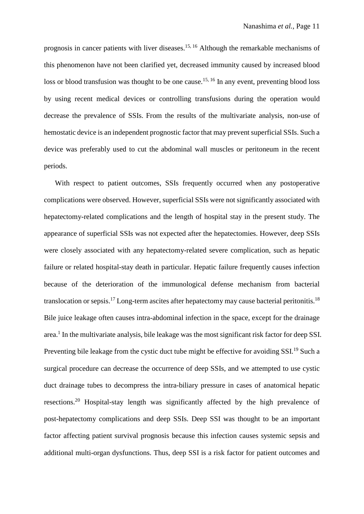prognosis in cancer patients with liver diseases.<sup>15, 16</sup> Although the remarkable mechanisms of this phenomenon have not been clarified yet, decreased immunity caused by increased blood loss or blood transfusion was thought to be one cause.<sup>15, 16</sup> In any event, preventing blood loss by using recent medical devices or controlling transfusions during the operation would decrease the prevalence of SSIs. From the results of the multivariate analysis, non-use of hemostatic device is an independent prognostic factor that may prevent superficial SSIs. Such a device was preferably used to cut the abdominal wall muscles or peritoneum in the recent periods.

 With respect to patient outcomes, SSIs frequently occurred when any postoperative complications were observed. However, superficial SSIs were not significantly associated with hepatectomy-related complications and the length of hospital stay in the present study. The appearance of superficial SSIs was not expected after the hepatectomies. However, deep SSIs were closely associated with any hepatectomy-related severe complication, such as hepatic failure or related hospital-stay death in particular. Hepatic failure frequently causes infection because of the deterioration of the immunological defense mechanism from bacterial translocation or sepsis.<sup>17</sup> Long-term ascites after hepatectomy may cause bacterial peritonitis.<sup>18</sup> Bile juice leakage often causes intra-abdominal infection in the space, except for the drainage area.<sup>1</sup> In the multivariate analysis, bile leakage was the most significant risk factor for deep SSI. Preventing bile leakage from the cystic duct tube might be effective for avoiding SSI.<sup>19</sup> Such a surgical procedure can decrease the occurrence of deep SSIs, and we attempted to use cystic duct drainage tubes to decompress the intra-biliary pressure in cases of anatomical hepatic resections.<sup>20</sup> Hospital-stay length was significantly affected by the high prevalence of post-hepatectomy complications and deep SSIs. Deep SSI was thought to be an important factor affecting patient survival prognosis because this infection causes systemic sepsis and additional multi-organ dysfunctions. Thus, deep SSI is a risk factor for patient outcomes and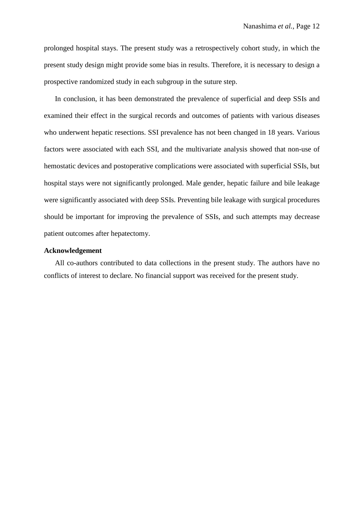prolonged hospital stays. The present study was a retrospectively cohort study, in which the present study design might provide some bias in results. Therefore, it is necessary to design a prospective randomized study in each subgroup in the suture step.

In conclusion, it has been demonstrated the prevalence of superficial and deep SSIs and examined their effect in the surgical records and outcomes of patients with various diseases who underwent hepatic resections. SSI prevalence has not been changed in 18 years. Various factors were associated with each SSI, and the multivariate analysis showed that non-use of hemostatic devices and postoperative complications were associated with superficial SSIs, but hospital stays were not significantly prolonged. Male gender, hepatic failure and bile leakage were significantly associated with deep SSIs. Preventing bile leakage with surgical procedures should be important for improving the prevalence of SSIs, and such attempts may decrease patient outcomes after hepatectomy.

# **Acknowledgement**

All co-authors contributed to data collections in the present study. The authors have no conflicts of interest to declare. No financial support was received for the present study.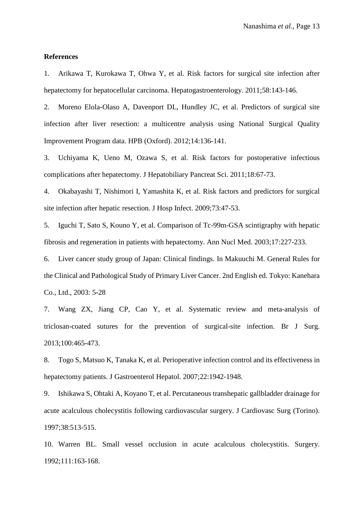### **References**

1. Arikawa T, Kurokawa T, Ohwa Y, et al. Risk factors for surgical site infection after hepatectomy for hepatocellular carcinoma. Hepatogastroenterology. 2011;58:143-146.

2. Moreno Elola-Olaso A, Davenport DL, Hundley JC, et al. Predictors of surgical site infection after liver resection: a multicentre analysis using National Surgical Quality Improvement Program data. HPB (Oxford). 2012;14:136-141.

3. Uchiyama K, Ueno M, Ozawa S, et al. Risk factors for postoperative infectious complications after hepatectomy. J Hepatobiliary Pancreat Sci. 2011;18:67-73.

4. Okabayashi T, Nishimori I, Yamashita K, et al. Risk factors and predictors for surgical site infection after hepatic resection. J Hosp Infect. 2009;73:47-53.

5. Iguchi T, Sato S, Kouno Y, et al. Comparison of Tc-99m-GSA scintigraphy with hepatic fibrosis and regeneration in patients with hepatectomy. Ann Nucl Med. 2003;17:227-233.

6. Liver cancer study group of Japan: Clinical findings. In Makuuchi M. General Rules for the Clinical and Pathological Study of Primary Liver Cancer. 2nd English ed. Tokyo: Kanehara Co., Ltd., 2003: 5-28

7. Wang ZX, Jiang CP, Cao Y, et al. Systematic review and meta-analysis of triclosan-coated sutures for the prevention of surgical-site infection. Br J Surg. 2013;100:465-473.

8. Togo S, Matsuo K, Tanaka K, et al. Perioperative infection control and its effectiveness in hepatectomy patients. J Gastroenterol Hepatol. 2007;22:1942-1948.

9. Ishikawa S, Ohtaki A, Koyano T, et al. Percutaneous transhepatic gallbladder drainage for acute acalculous cholecystitis following cardiovascular surgery. J Cardiovasc Surg (Torino). 1997;38:513-515.

10. Warren BL. Small vessel occlusion in acute acalculous cholecystitis. Surgery. 1992;111:163-168.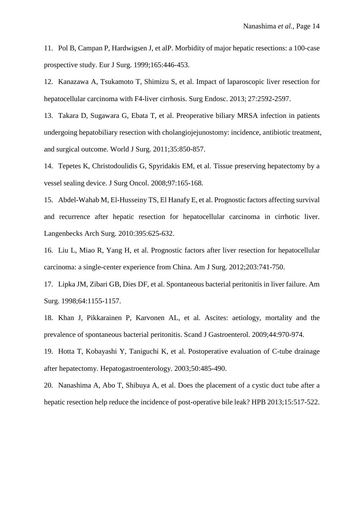11. Pol B, Campan P, Hardwigsen J, et alP. Morbidity of major hepatic resections: a 100-case prospective study. Eur J Surg. 1999;165:446-453.

12. Kanazawa A, Tsukamoto T, Shimizu S, et al. Impact of laparoscopic liver resection for hepatocellular carcinoma with F4-liver cirrhosis. Surg Endosc. 2013; 27:2592-2597.

13. Takara D, Sugawara G, Ebata T, et al. Preoperative biliary MRSA infection in patients undergoing hepatobiliary resection with cholangiojejunostomy: incidence, antibiotic treatment, and surgical outcome. World J Surg. 2011;35:850-857.

14. Tepetes K, Christodoulidis G, Spyridakis EM, et al. Tissue preserving hepatectomy by a vessel sealing device. J Surg Oncol. 2008;97:165-168.

15. Abdel-Wahab M, El-Husseiny TS, El Hanafy E, et al. Prognostic factors affecting survival and recurrence after hepatic resection for hepatocellular carcinoma in cirrhotic liver. Langenbecks Arch Surg. 2010:395:625-632.

16. Liu L, Miao R, Yang H, et al. Prognostic factors after liver resection for hepatocellular carcinoma: a single-center experience from China. Am J Surg. 2012;203:741-750.

17. Lipka JM, Zibari GB, Dies DF, et al. Spontaneous bacterial peritonitis in liver failure. Am Surg. 1998;64:1155-1157.

18. Khan J, Pikkarainen P, Karvonen AL, et al. Ascites: aetiology, mortality and the prevalence of spontaneous bacterial peritonitis. Scand J Gastroenterol. 2009;44:970-974.

19. Hotta T, Kobayashi Y, Taniguchi K, et al. Postoperative evaluation of C-tube drainage after hepatectomy. Hepatogastroenterology. 2003;50:485-490.

20. Nanashima A, Abo T, Shibuya A, et al. Does the placement of a cystic duct tube after a hepatic resection help reduce the incidence of post-operative bile leak? HPB 2013;15:517-522.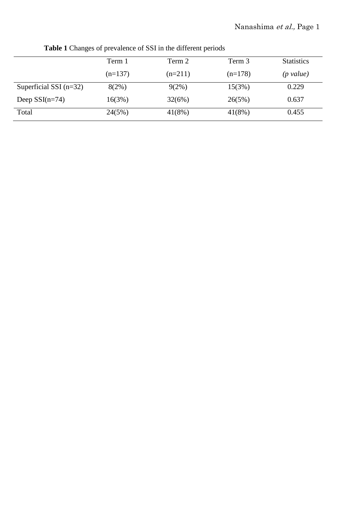|                          | Term 1    | Term 2    | Term 3    | <b>Statistics</b> |
|--------------------------|-----------|-----------|-----------|-------------------|
|                          | $(n=137)$ | $(n=211)$ | $(n=178)$ | (p value)         |
| Superficial SSI $(n=32)$ | 8(2%)     | $9(2\%)$  | 15(3%)    | 0.229             |
| Deep $SSI(n=74)$         | 16(3%)    | 32(6%)    | 26(5%)    | 0.637             |
| Total                    | 24(5%)    | $41(8\%)$ | $41(8\%)$ | 0.455             |

**Table 1** Changes of prevalence of SSI in the different periods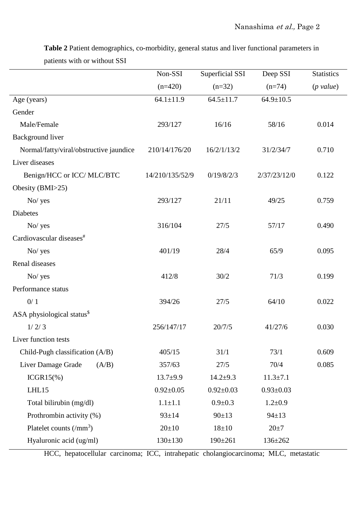|                                         | Non-SSI         | Superficial SSI | Deep SSI        | <b>Statistics</b>   |
|-----------------------------------------|-----------------|-----------------|-----------------|---------------------|
|                                         | $(n=420)$       | $(n=32)$        | $(n=74)$        | $(p \text{ value})$ |
| Age (years)                             | $64.1 \pm 11.9$ | $64.5 \pm 11.7$ | $64.9 \pm 10.5$ |                     |
| Gender                                  |                 |                 |                 |                     |
| Male/Female                             | 293/127         | 16/16           | 58/16           | 0.014               |
| Background liver                        |                 |                 |                 |                     |
| Normal/fatty/viral/obstructive jaundice | 210/14/176/20   | 16/2/1/13/2     | 31/2/34/7       | 0.710               |
| Liver diseases                          |                 |                 |                 |                     |
| Benign/HCC or ICC/ MLC/BTC              | 14/210/135/52/9 | 0/19/8/2/3      | 2/37/23/12/0    | 0.122               |
| Obesity (BMI>25)                        |                 |                 |                 |                     |
| No/yes                                  | 293/127         | 21/11           | 49/25           | 0.759               |
| <b>Diabetes</b>                         |                 |                 |                 |                     |
| No/ yes                                 | 316/104         | 27/5            | 57/17           | 0.490               |
| Cardiovascular diseases <sup>#</sup>    |                 |                 |                 |                     |
| No/ yes                                 | 401/19          | 28/4            | 65/9            | 0.095               |
| Renal diseases                          |                 |                 |                 |                     |
| No/yes                                  | 412/8           | 30/2            | 71/3            | 0.199               |
| Performance status                      |                 |                 |                 |                     |
| 0/1                                     | 394/26          | 27/5            | 64/10           | 0.022               |
| ASA physiological status <sup>\$</sup>  |                 |                 |                 |                     |
| 1/2/3                                   | 256/147/17      | 20/7/5          | 41/27/6         | 0.030               |
| Liver function tests                    |                 |                 |                 |                     |
| Child-Pugh classification (A/B)         | 405/15          | 31/1            | 73/1            | 0.609               |
| Liver Damage Grade<br>(A/B)             | 357/63          | 27/5            | 70/4            | 0.085               |
| $ICGR15(\%)$                            | $13.7 + 9.9$    | $14.2 + 9.3$    | $11.3 \pm 7.1$  |                     |
| LHL15                                   | $0.92 \pm 0.05$ | $0.92 \pm 0.03$ | $0.93 \pm 0.03$ |                     |
| Total bilirubin (mg/dl)                 | $1.1 \pm 1.1$   | $0.9 + 0.3$     | $1.2 \pm 0.9$   |                     |
| Prothrombin activity (%)                | $93 \pm 14$     | $90 \pm 13$     | $94 \pm 13$     |                     |
| Platelet counts $\rm(\mu m^3)$          | $20 \pm 10$     | $18 + 10$       | $20 \pm 7$      |                     |
| Hyaluronic acid (ug/ml)                 | $130 \pm 130$   | $190 \pm 261$   | $136 \pm 262$   |                     |

**Table 2** Patient demographics, co-morbidity, general status and liver functional parameters in patients with or without SSI

HCC, hepatocellular carcinoma; ICC, intrahepatic cholangiocarcinoma; MLC, metastatic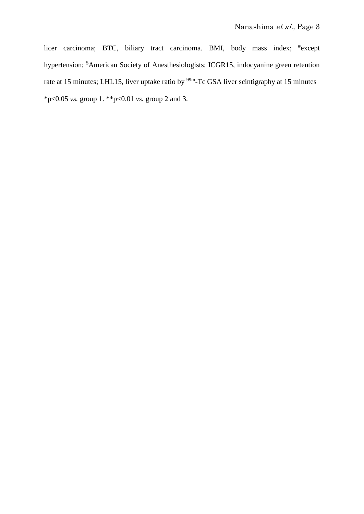licer carcinoma; BTC, biliary tract carcinoma. BMI, body mass index; # except hypertension; \$ American Society of Anesthesiologists; ICGR15, indocyanine green retention rate at 15 minutes; LHL15, liver uptake ratio by <sup>99m</sup>-Tc GSA liver scintigraphy at 15 minutes \*p<0.05 *vs.* group 1. \*\*p<0.01 *vs.* group 2 and 3.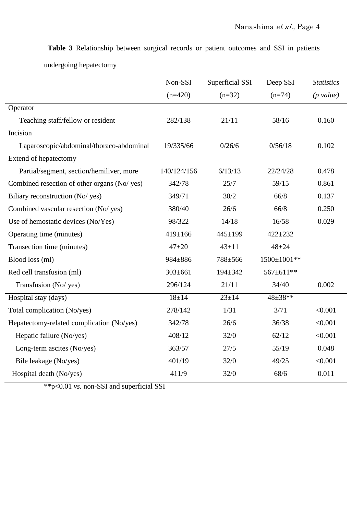|                                              | Non-SSI       | Superficial SSI | Deep SSI    | <b>Statistics</b>   |
|----------------------------------------------|---------------|-----------------|-------------|---------------------|
|                                              | $(n=420)$     | $(n=32)$        | $(n=74)$    | $(p \text{ value})$ |
| Operator                                     |               |                 |             |                     |
| Teaching staff/fellow or resident            | 282/138       | 21/11           | 58/16       | 0.160               |
| Incision                                     |               |                 |             |                     |
| Laparoscopic/abdominal/thoraco-abdominal     | 19/335/66     | 0/26/6          | 0/56/18     | 0.102               |
| Extend of hepatectomy                        |               |                 |             |                     |
| Partial/segment, section/hemiliver, more     | 140/124/156   | 6/13/13         | 22/24/28    | 0.478               |
| Combined resection of other organs (No/ yes) | 342/78        | 25/7            | 59/15       | 0.861               |
| Biliary reconstruction (No/ yes)             | 349/71        | 30/2            | 66/8        | 0.137               |
| Combined vascular resection (No/ yes)        | 380/40        | 26/6            | 66/8        | 0.250               |
| Use of hemostatic devices (No/Yes)           | 98/322        | 14/18           | 16/58       | 0.029               |
| Operating time (minutes)                     | 419±166       | $445 \pm 199$   | $422 + 232$ |                     |
| Transection time (minutes)                   | $47 + 20$     | $43 + 11$       | $48 + 24$   |                     |
| Blood loss (ml)                              | 984±886       | 788±566         | 1500±1001** |                     |
| Red cell transfusion (ml)                    | $303 \pm 661$ | $194 \pm 342$   | 567±611**   |                     |
| Transfusion (No/ yes)                        | 296/124       | 21/11           | 34/40       | 0.002               |
| Hospital stay (days)                         | $18 + 14$     | $23 \pm 14$     | 48±38**     |                     |
| Total complication (No/yes)                  | 278/142       | 1/31            | 3/71        | < 0.001             |
| Hepatectomy-related complication (No/yes)    | 342/78        | 26/6            | 36/38       | < 0.001             |
| Hepatic failure (No/yes)                     | 408/12        | 32/0            | 62/12       | < 0.001             |
| Long-term ascites (No/yes)                   | 363/57        | 27/5            | 55/19       | 0.048               |
| Bile leakage (No/yes)                        | 401/19        | 32/0            | 49/25       | < 0.001             |
| Hospital death (No/yes)                      | 411/9         | 32/0            | 68/6        | 0.011               |
|                                              |               |                 |             |                     |

**Table 3** Relationship between surgical records or patient outcomes and SSI in patients

undergoing hepatectomy

\*\*p<0.01 *vs.* non-SSI and superficial SSI